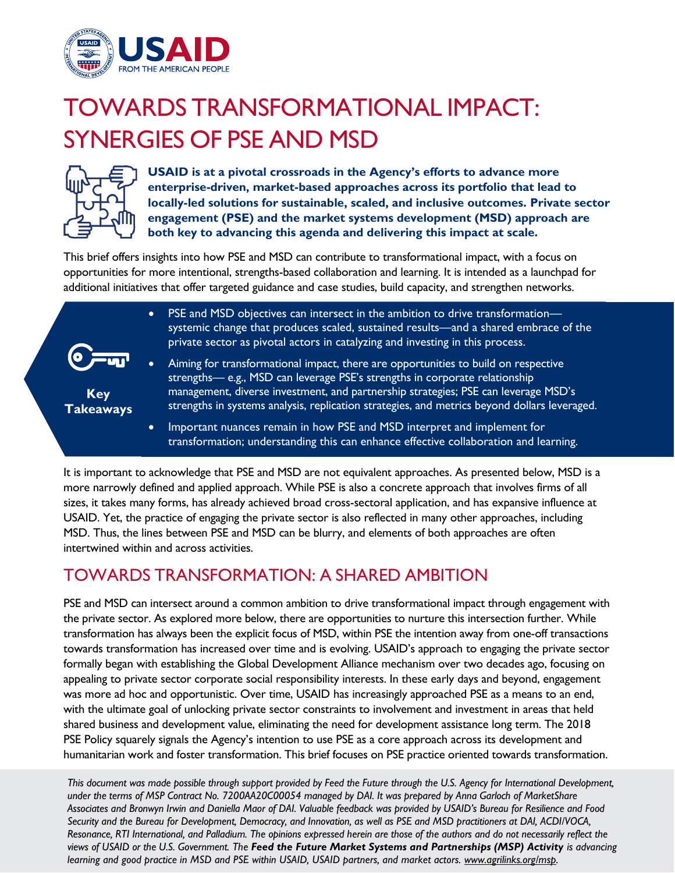

# TOWARDS TRANSFORMATIONAL IMPACT: SYNERGIES OF PSE AND MSD



**Key Takeaways**

**USAID is at a pivotal crossroads in the Agency's efforts to advance more enterprise-driven, market-based approaches across its portfolio that lead to locally-led solutions for sustainable, scaled, and inclusive outcomes. Private sector engagement (PSE) and the market systems development (MSD) approach are both key to advancing this agenda and delivering this impact at scale.**

This brief offers insights into how PSE and MSD can contribute to transformational impact, with a focus on opportunities for more intentional, strengths-based collaboration and learning. It is intended as a launchpad for additional initiatives that offer targeted guidance and case studies, build capacity, and strengthen networks.

- PSE and MSD objectives can intersect in the ambition to drive transformationsystemic change that produces scaled, sustained results—and a shared embrace of the private sector as pivotal actors in catalyzing and investing in this process.
- Aiming for transformational impact, there are opportunities to build on respective strengths— e.g., MSD can leverage PSE's strengths in corporate relationship management, diverse investment, and partnership strategies; PSE can leverage MSD's strengths in systems analysis, replication strategies, and metrics beyond dollars leveraged.
- Important nuances remain in how PSE and MSD interpret and implement for transformation; understanding this can enhance effective collaboration and learning.

It is important to acknowledge that PSE and MSD are not equivalent approaches. As presented below, MSD is a more narrowly defined and applied approach. While PSE is also a concrete approach that involves firms of all sizes, it takes many forms, has already achieved broad cross-sectoral application, and has expansive influence at USAID. Yet, the practice of engaging the private sector is also reflected in many other approaches, including MSD. Thus, the lines between PSE and MSD can be blurry, and elements of both approaches are often intertwined within and across activities.

## TOWARDS TRANSFORMATION: A SHARED AMBITION

PSE and MSD can intersect around a common ambition to drive transformational impact through engagement with the private sector. As explored more below, there are opportunities to nurture this intersection further. While transformation has always been the explicit focus of MSD, within PSE the intention away from one-off transactions towards transformation has increased over time and is evolving. USAID's approach to engaging the private sector formally began with establishing the Global Development Alliance mechanism over two decades ago, focusing on appealing to private sector corporate social responsibility interests. In these early days and beyond, engagement was more ad hoc and opportunistic. Over time, USAID has increasingly approached PSE as a means to an end, with the ultimate goal of unlocking private sector constraints to involvement and investment in areas that held shared business and development value, eliminating the need for development assistance long term. The 2018 PSE Policy squarely signals the Agency's intention to use PSE as a core approach across its development and humanitarian work and foster transformation. This brief focuses on PSE practice oriented towards transformation.

*This document was made possible through support provided by Feed the Future through the U.S. Agency for International Development, under the terms of MSP Contract No. 7200AA20C00054 managed by DAI. It was prepared by Anna Garloch of MarketShare Associates and Bronwyn Irwin and Daniella Maor of DAI. Valuable feedback was provided by USAID's Bureau for Resilience and Food Security and the Bureau for Development, Democracy, and Innovation, as well as PSE and MSD practitioners at DAI, ACDI/VOCA, Resonance, RTI International, and Palladium. The opinions expressed herein are those of the authors and do not necessarily reflect the views of USAID or the U.S. Government. The Feed the Future Market Systems and Partnerships (MSP) Activity is advancing learning and good practice in MSD and PSE within USAID, USAID partners, and market actors. www.agrilinks.org/msp.*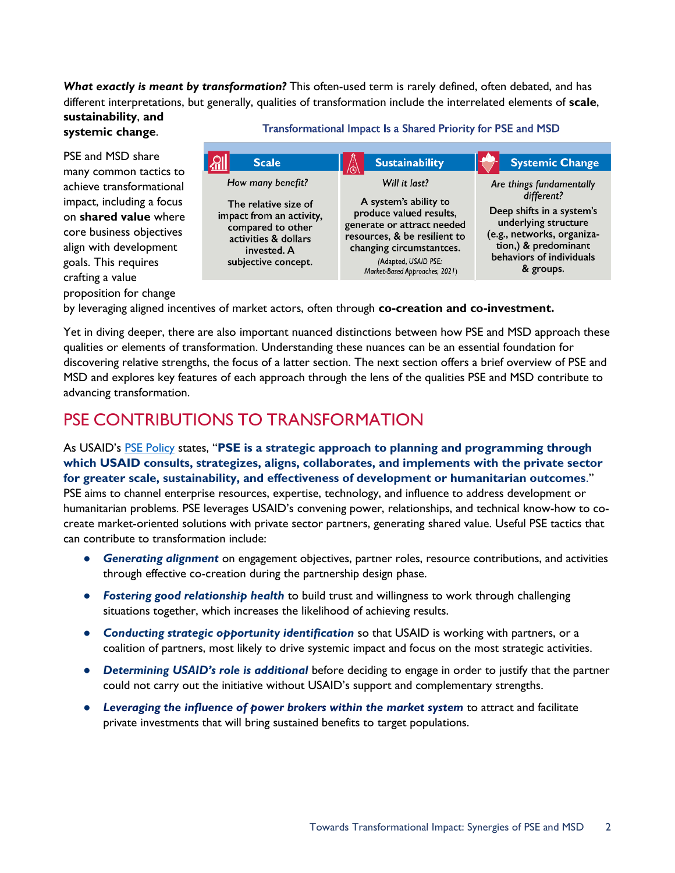#### *What exactly is meant by transformation?* This often-used term is rarely defined, often debated, and has different interpretations, but generally, qualities of transformation include the interrelated elements of **scale**, **sustainability**, **and**

### **systemic change**.

PSE and MSD share many common tactics to achieve transformational impact, including a focus on **shared value** where core business objectives align with development goals. This requires crafting a value proposition for change

#### Transformational Impact Is a Shared Priority for PSE and MSD

| <b>Scale</b>                                                                                                                                             | <b>Sustainability</b>                                                                                                                                                                                                 | <b>Systemic Change</b>                                                                                                                                                                     |
|----------------------------------------------------------------------------------------------------------------------------------------------------------|-----------------------------------------------------------------------------------------------------------------------------------------------------------------------------------------------------------------------|--------------------------------------------------------------------------------------------------------------------------------------------------------------------------------------------|
| How many benefit?<br>The relative size of<br>impact from an activity,<br>compared to other<br>activities & dollars<br>invested. A<br>subjective concept. | Will it last?<br>A system's ability to<br>produce valued results,<br>generate or attract needed<br>resources, & be resilient to<br>changing circumstantces.<br>(Adapted, USAID PSE:<br>Market-Based Approaches, 2021) | Are things fundamentally<br>different?<br>Deep shifts in a system's<br>underlying structure<br>(e.g., networks, organiza-<br>tion,) & predominant<br>behaviors of individuals<br>& groups. |

by leveraging aligned incentives of market actors, often through **co-creation and co-investment.**

Yet in diving deeper, there are also important nuanced distinctions between how PSE and MSD approach these qualities or elements of transformation. Understanding these nuances can be an essential foundation for discovering relative strengths, the focus of a latter section. The next section offers a brief overview of PSE and MSD and explores key features of each approach through the lens of the qualities PSE and MSD contribute to advancing transformation.

### PSE CONTRIBUTIONS TO TRANSFORMATION

As USAID's [PSE Policy](https://www.usaid.gov/sites/default/files/documents/1865/usaid_psepolicy_final.pdf) states, "**PSE is a strategic approach to planning and programming through which USAID consults, strategizes, aligns, collaborates, and implements with the private sector for greater scale, sustainability, and effectiveness of development or humanitarian outcomes**." PSE aims to channel enterprise resources, expertise, technology, and influence to address development or humanitarian problems. PSE leverages USAID's convening power, relationships, and technical know-how to cocreate market-oriented solutions with private sector partners, generating shared value. Useful PSE tactics that can contribute to transformation include:

- *Generating alignment* on engagement objectives, partner roles, resource contributions, and activities through effective co-creation during the partnership design phase.
- *Fostering good relationship health* to build trust and willingness to work through challenging situations together, which increases the likelihood of achieving results.
- *Conducting strategic opportunity identification* so that USAID is working with partners, or a coalition of partners, most likely to drive systemic impact and focus on the most strategic activities.
- **•** Determining USAID's role is additional before deciding to engage in order to justify that the partner could not carry out the initiative without USAID's support and complementary strengths.
- *Leveraging the influence of power brokers within the market system* to attract and facilitate private investments that will bring sustained benefits to target populations.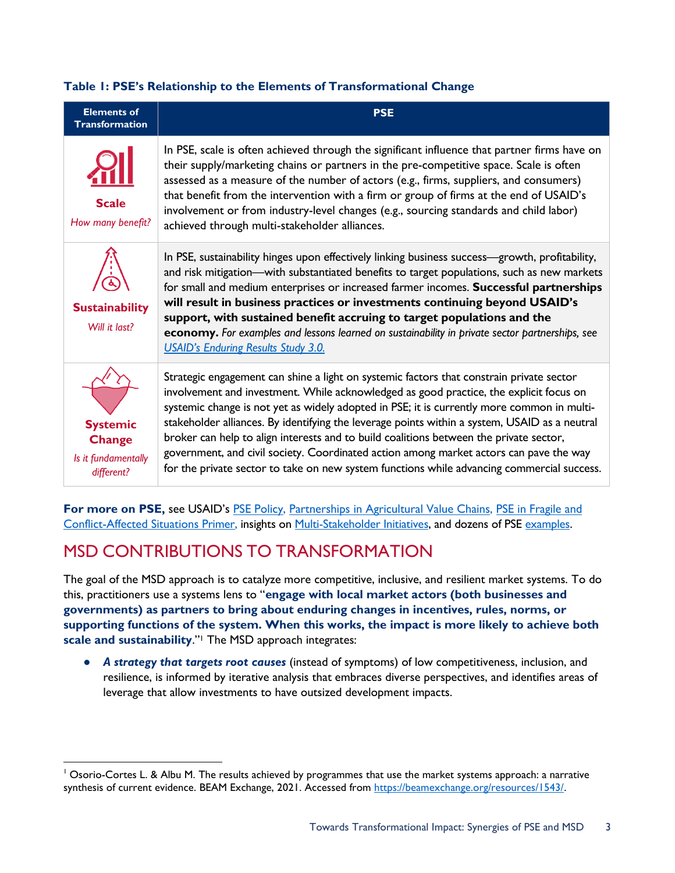#### **Table 1: PSE's Relationship to the Elements of Transformational Change**

| <b>Elements of</b><br><b>Transformation</b>                           | <b>PSE</b>                                                                                                                                                                                                                                                                                                                                                                                                                                                                                                                                                                                                                                                          |
|-----------------------------------------------------------------------|---------------------------------------------------------------------------------------------------------------------------------------------------------------------------------------------------------------------------------------------------------------------------------------------------------------------------------------------------------------------------------------------------------------------------------------------------------------------------------------------------------------------------------------------------------------------------------------------------------------------------------------------------------------------|
| <b>Scale</b><br>How many benefit?                                     | In PSE, scale is often achieved through the significant influence that partner firms have on<br>their supply/marketing chains or partners in the pre-competitive space. Scale is often<br>assessed as a measure of the number of actors (e.g., firms, suppliers, and consumers)<br>that benefit from the intervention with a firm or group of firms at the end of USAID's<br>involvement or from industry-level changes (e.g., sourcing standards and child labor)<br>achieved through multi-stakeholder alliances.                                                                                                                                                 |
| <b>Sustainability</b><br>Will it last?                                | In PSE, sustainability hinges upon effectively linking business success-growth, profitability,<br>and risk mitigation—with substantiated benefits to target populations, such as new markets<br>for small and medium enterprises or increased farmer incomes. Successful partnerships<br>will result in business practices or investments continuing beyond USAID's<br>support, with sustained benefit accruing to target populations and the<br>economy. For examples and lessons learned on sustainability in private sector partnerships, see<br><b>USAID's Enduring Results Study 3.0.</b>                                                                      |
| <b>Systemic</b><br><b>Change</b><br>Is it fundamentally<br>different? | Strategic engagement can shine a light on systemic factors that constrain private sector<br>involvement and investment. While acknowledged as good practice, the explicit focus on<br>systemic change is not yet as widely adopted in PSE; it is currently more common in multi-<br>stakeholder alliances. By identifying the leverage points within a system, USAID as a neutral<br>broker can help to align interests and to build coalitions between the private sector,<br>government, and civil society. Coordinated action among market actors can pave the way<br>for the private sector to take on new system functions while advancing commercial success. |

For more on [PSE](https://www.usaid.gov/sites/default/files/documents/1865/usaid_psepolicy_final.pdf), see USAID's PSE [Policy,](https://www.usaid.gov/sites/default/files/documents/1865/usaid_psepolicy_final.pdf) [Partnerships in Agricultural Value Chains,](https://agrilinks.org/sites/default/files/2017_partnerships_guide.pdf) PSE in Fragile and [Conflict-Affected Situations](https://www.marketlinks.org/resources/primer-private-sector-engagement-fragile-and-conflict-affected-situations) Primer, insights on [Multi-Stakeholder Initiatives,](https://www.usaid.gov/documents/multi-stakeholder-initiatives-private-sector) and dozens of PSE [examples.](https://usaid-pse.exposure.co/?page=1)

# MSD CONTRIBUTIONS TO TRANSFORMATION

The goal of the MSD approach is to catalyze more competitive, inclusive, and resilient market systems. To do this, practitioners use a systems lens to "**engage with local market actors (both businesses and governments) as partners to bring about enduring changes in incentives, rules, norms, or supporting functions of the system. When this works, the impact is more likely to achieve both scale and sustainability**."<sup>1</sup> The MSD approach integrates:

● *A strategy that targets root causes* (instead of symptoms) of low competitiveness, inclusion, and resilience, is informed by iterative analysis that embraces diverse perspectives, and identifies areas of leverage that allow investments to have outsized development impacts.

<sup>&</sup>lt;sup>1</sup> Osorio-Cortes L. & Albu M. The results achieved by programmes that use the market systems approach: a narrative synthesis of current evidence. BEAM Exchange, 2021. Accessed from [https://beamexchange.org/resources/1543/.](https://beamexchange.org/resources/1543/)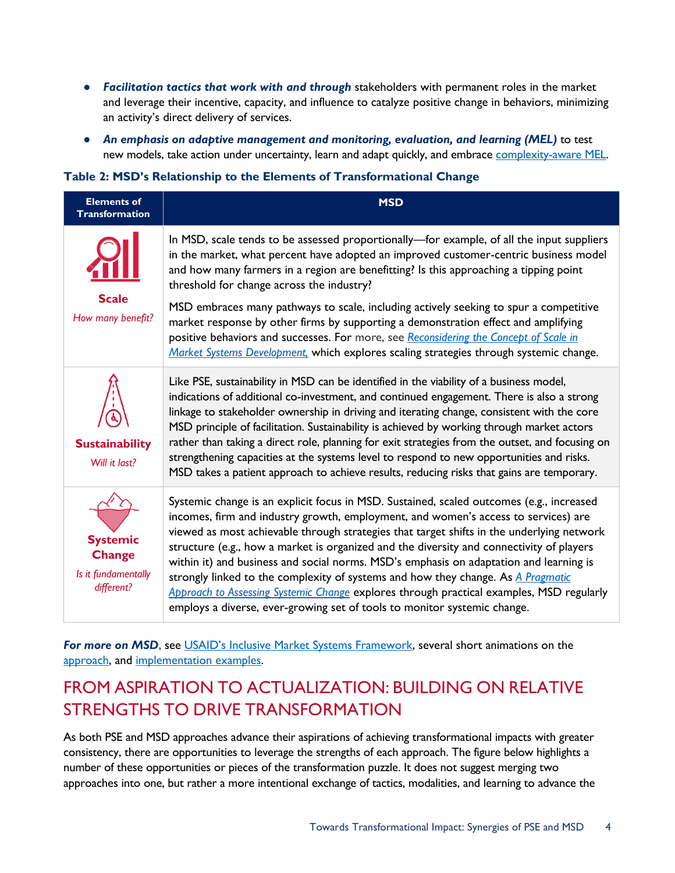- *Facilitation tactics that work with and through* stakeholders with permanent roles in the market and leverage their incentive, capacity, and influence to catalyze positive change in behaviors, minimizing an activity's direct delivery of services.
- *An emphasis on adaptive management and monitoring, evaluation, and learning (MEL)* to test new models, take action under uncertainty, learn and adapt quickly, and embrace [complexity-aware MEL.](https://usaidlearninglab.org/library/complexity-aware-monitoring-discussion-note-brief)

### **Table 2: MSD's Relationship to the Elements of Transformational Change**

| <b>Elements of</b><br><b>Transformation</b>                           | <b>MSD</b>                                                                                                                                                                                                                                                                                                                                                                                                                                                                                                                                                                                                                                                                                                                    |
|-----------------------------------------------------------------------|-------------------------------------------------------------------------------------------------------------------------------------------------------------------------------------------------------------------------------------------------------------------------------------------------------------------------------------------------------------------------------------------------------------------------------------------------------------------------------------------------------------------------------------------------------------------------------------------------------------------------------------------------------------------------------------------------------------------------------|
| <b>Scale</b><br>How many benefit?                                     | In MSD, scale tends to be assessed proportionally-for example, of all the input suppliers<br>in the market, what percent have adopted an improved customer-centric business model<br>and how many farmers in a region are benefitting? Is this approaching a tipping point<br>threshold for change across the industry?<br>MSD embraces many pathways to scale, including actively seeking to spur a competitive<br>market response by other firms by supporting a demonstration effect and amplifying<br>positive behaviors and successes. For more, see Reconsidering the Concept of Scale in<br>Market Systems Development, which explores scaling strategies through systemic change.                                     |
| <b>Sustainability</b><br>Will it last?                                | Like PSE, sustainability in MSD can be identified in the viability of a business model,<br>indications of additional co-investment, and continued engagement. There is also a strong<br>linkage to stakeholder ownership in driving and iterating change, consistent with the core<br>MSD principle of facilitation. Sustainability is achieved by working through market actors<br>rather than taking a direct role, planning for exit strategies from the outset, and focusing on<br>strengthening capacities at the systems level to respond to new opportunities and risks.<br>MSD takes a patient approach to achieve results, reducing risks that gains are temporary.                                                  |
| <b>Systemic</b><br><b>Change</b><br>Is it fundamentally<br>different? | Systemic change is an explicit focus in MSD. Sustained, scaled outcomes (e.g., increased<br>incomes, firm and industry growth, employment, and women's access to services) are<br>viewed as most achievable through strategies that target shifts in the underlying network<br>structure (e.g., how a market is organized and the diversity and connectivity of players<br>within it) and business and social norms. MSD's emphasis on adaptation and learning is<br>strongly linked to the complexity of systems and how they change. As A Pragmatic<br>Approach to Assessing Systemic Change explores through practical examples, MSD regularly<br>employs a diverse, ever-growing set of tools to monitor systemic change. |

For more on MSD, see [USAID's Inclusive Market Systems Framework](https://www.marketlinks.org/sites/default/files/resource/files/Market_Systems_Framework.pdf), several short animations on the [approach,](https://beamexchange.org/market-systems/video/) and [implementation examples.](https://beamexchange.org/practice/snapshots/)

# FROM ASPIRATION TO ACTUALIZATION: BUILDING ON RELATIVE STRENGTHS TO DRIVE TRANSFORMATION

As both PSE and MSD approaches advance their aspirations of achieving transformational impacts with greater consistency, there are opportunities to leverage the strengths of each approach. The figure below highlights a number of these opportunities or pieces of the transformation puzzle. It does not suggest merging two approaches into one, but rather a more intentional exchange of tactics, modalities, and learning to advance the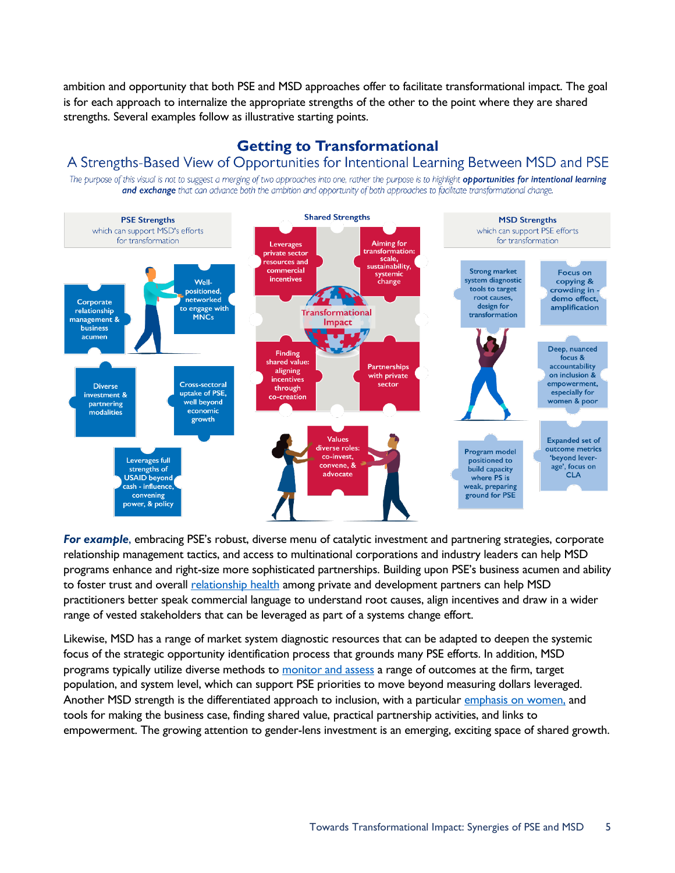ambition and opportunity that both PSE and MSD approaches offer to facilitate transformational impact. The goal is for each approach to internalize the appropriate strengths of the other to the point where they are shared strengths. Several examples follow as illustrative starting points.

### **Getting to Transformational**

### A Strengths-Based View of Opportunities for Intentional Learning Between MSD and PSE

The purpose of this visual is not to suggest a merging of two approaches into one, rather the purpose is to highlight opportunities for intentional learning and exchange that can advance both the ambition and opportunity of both approaches to facilitate transformational change.



*For example*, embracing PSE's robust, diverse menu of catalytic investment and partnering strategies, corporate relationship management tactics, and access to multinational corporations and industry leaders can help MSD programs enhance and right-size more sophisticated partnerships. Building upon PSE's business acumen and ability to foster trust and overall [relationship health](https://www.devex.com/news/usaid-s-partnership-health-5-lessons-from-the-private-sector-88565) among private and development partners can help MSD practitioners better speak commercial language to understand root causes, align incentives and draw in a wider range of vested stakeholders that can be leveraged as part of a systems change effort.

Likewise, MSD has a range of market system diagnostic resources that can be adapted to deepen the systemic focus of the strategic opportunity identification process that grounds many PSE efforts. In addition, MSD programs typically utilize diverse methods to [monitor and assess](https://www.marketlinks.org/resources/guidelines-monitoring-evaluation-and-learning-market-systems-development) a range of outcomes at the firm, target population, and system level, which can support PSE priorities to move beyond measuring dollars leveraged. Another MSD strength is the differentiated approach to inclusion, [with a particular emphasis on](https://agrilinks.org/sites/default/files/media/file/Visualization%20on%20gender%20and%20youth%20in%20market%20systems.pdf) women, and tools for making the business case, finding shared value, practical partnership activities, and links to empowerment. The growing attention to gender-lens investment is an emerging, exciting space of shared growth.